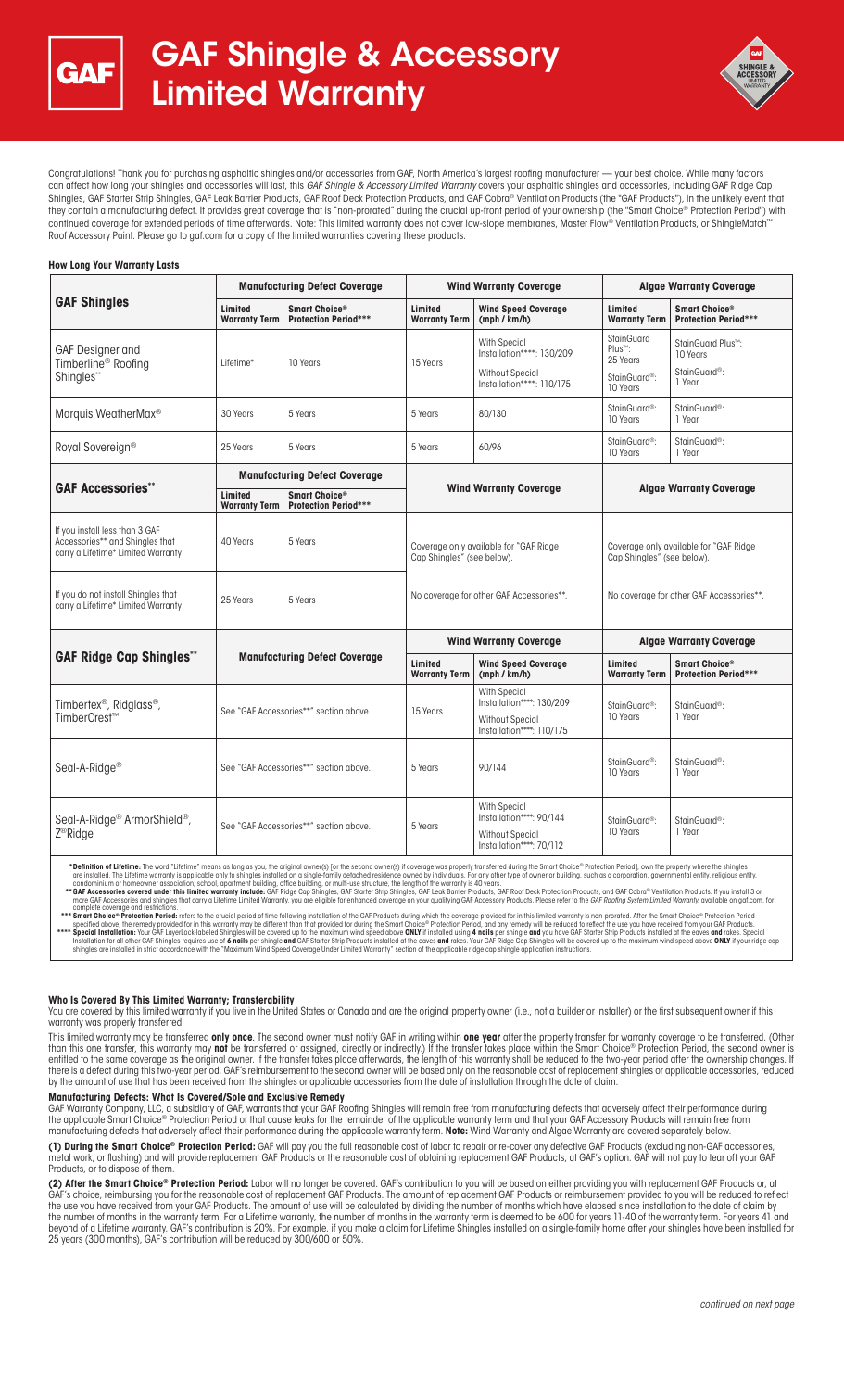



Congratulations! Thank you for purchasing asphaltic shingles and/or accessories from GAF, North America's largest roofing manufacturer — your best choice. While many factors can affect how long your shingles and accessories will last, this *GAF Shingle & Accessory Limited Warranty* covers your asphaltic shingles and accessories, including GAF Ridge Cap Shingles, GAF Starter Strip Shingles, GAF Leak Barrier Products, GAF Roof Deck Protection Products, and GAF Cobra® Ventilation Products (the "GAF Products"), in the unlikely event that they contain a manufacturing defect. It provides great coverage that is "non-prorated" during the crucial up-front period of your ownership (the "Smart Choice® Protection Period") with continued coverage for extended periods of time afterwards. Note: This limited warranty does not cover low-slope membranes, Master Flow® Ventilation Products, or ShingleMatch Roof Accessory Paint. Please go to gaf.com for a copy of the limited warranties covering these products.

#### **How Long Your Warranty Lasts**

| <b>GAF Shingles</b>                                                                                     | <b>Manufacturing Defect Coverage</b>   |                                              | <b>Wind Warranty Coverage</b>                                                                                    |                                                                                                         | <b>Algae Warranty Coverage</b>                                                                                   |                                                                         |
|---------------------------------------------------------------------------------------------------------|----------------------------------------|----------------------------------------------|------------------------------------------------------------------------------------------------------------------|---------------------------------------------------------------------------------------------------------|------------------------------------------------------------------------------------------------------------------|-------------------------------------------------------------------------|
|                                                                                                         | Limited<br><b>Warranty Term</b>        | Smart Choice®<br><b>Protection Period***</b> | Limited<br><b>Warranty Term</b>                                                                                  | <b>Wind Speed Coverage</b><br>(mph / km/h)                                                              | Limited<br><b>Warranty Term</b>                                                                                  | Smart Choice®<br><b>Protection Period***</b>                            |
| GAF Designer and<br>Timberline <sup>®</sup> Roofing<br>Shingles**                                       | Lifetime*                              | 10 Years                                     | 15 Years                                                                                                         | <b>With Special</b><br>Installation****: 130/209<br><b>Without Special</b>                              | StainGuard<br>Plus™:<br>25 Years<br>StainGuard <sup>®</sup> :                                                    | StainGuard Plus <sup>™</sup> :<br>10 Years<br>StainGuard <sup>®</sup> : |
|                                                                                                         |                                        |                                              |                                                                                                                  | Installation****: 110/175                                                                               | 10 Years                                                                                                         | 1 Year                                                                  |
| Marquis WeatherMax <sup>®</sup>                                                                         | 30 Years                               | 5 Years                                      | 5 Years                                                                                                          | 80/130                                                                                                  | StainGuard <sup>®</sup> :<br>10 Years                                                                            | StainGuard <sup>®</sup> :<br>1 Year                                     |
| Royal Sovereign <sup>®</sup>                                                                            | 25 Years                               | 5 Years                                      | 5 Years                                                                                                          | 60/96                                                                                                   | StainGuard <sup>®</sup> :<br>10 Years                                                                            | StainGuard <sup>®</sup> :<br>1 Year                                     |
| <b>GAF Accessories**</b>                                                                                | <b>Manufacturing Defect Coverage</b>   |                                              |                                                                                                                  |                                                                                                         |                                                                                                                  |                                                                         |
|                                                                                                         | Limited<br><b>Warranty Term</b>        | Smart Choice®<br><b>Protection Period***</b> | <b>Wind Warranty Coverage</b>                                                                                    |                                                                                                         | <b>Algae Warranty Coverage</b>                                                                                   |                                                                         |
| If you install less than 3 GAF<br>Accessories** and Shingles that<br>carry a Lifetime* Limited Warranty | 40 Years                               | 5 Years                                      | Coverage only available for "GAF Ridge<br>Cap Shingles" (see below).<br>No coverage for other GAF Accessories**. |                                                                                                         | Coverage only available for "GAF Ridge<br>Cap Shingles" (see below).<br>No coverage for other GAF Accessories**. |                                                                         |
| If you do not install Shingles that<br>carry a Lifetime* Limited Warranty                               | 25 Years                               | 5 Years                                      |                                                                                                                  |                                                                                                         |                                                                                                                  |                                                                         |
| <b>GAF Ridge Cap Shingles**</b>                                                                         | <b>Manufacturing Defect Coverage</b>   |                                              | <b>Wind Warranty Coverage</b>                                                                                    |                                                                                                         | <b>Algae Warranty Coverage</b>                                                                                   |                                                                         |
|                                                                                                         |                                        |                                              | Limited<br><b>Warranty Term</b>                                                                                  | <b>Wind Speed Coverage</b><br>(mph / km/h)                                                              | Limited<br><b>Warranty Term</b>                                                                                  | Smart Choice®<br><b>Protection Period***</b>                            |
| Timbertex <sup>®</sup> , Ridglass <sup>®</sup> ,<br>TimberCrest <sup>™</sup>                            | See "GAF Accessories**" section above. |                                              | 15 Years                                                                                                         | <b>With Special</b><br>Installation****: 130/209<br><b>Without Special</b><br>Installation****: 110/175 | StainGuard <sup>®</sup> :<br>10 Years                                                                            | StainGuard <sup>®</sup> :<br>1 Year                                     |
| Seal-A-Ridge <sup>®</sup>                                                                               | See "GAF Accessories**" section above. |                                              | 5 Years                                                                                                          | 90/144                                                                                                  | StainGuard <sup>®</sup> :<br>10 Years                                                                            | StainGuard <sup>®</sup> :<br>1 Year                                     |
| Seal-A-Ridge <sup>®</sup> ArmorShield <sup>®</sup> ,<br>Z <sup>®</sup> Ridge                            | See "GAF Accessories**" section above. |                                              | 5 Years                                                                                                          | <b>With Special</b><br>Installation****: 90/144<br>Without Special<br>Installation****: 70/112          | StainGuard <sup>®</sup> :<br>10 Years                                                                            | StainGuard <sup>®</sup> :<br>1 Year                                     |

\*Definition of Lifetime: The word "Lifetime" means as long as you, the original owner(s) [or the second owner(s) if coverage was properly transferred during the Smart Choice® Protection Period), own the properly where the

#### **Who Is Covered By This Limited Warranty; Transferability**

You are covered by this limited warranty if you live in the United States or Canada and are the original property owner (i.e., not a builder or installer) or the first subsequent owner if this warranty was properly transferred.

This limited warranty may be transferred **only once**. The second owner must notify GAF in writing within **one year** after the property transfer for warranty coverage to be transferred. (Other than this one transfer, this warranty ma**y not** be transferred or assigned, directly or indirectly.) If the transfer takes place within the Smart Choice® Protection Period, the second owner is<br>entitled to the same coverage there is a defect during this two-year period, GAF's reimbursement to the second owner will be based only on the reasonable cost of replacement shingles or applicable accessories, reduced by the amount of use that has been received from the shingles or applicable accessories from the date of installation through the date of claim.

#### **Manufacturing Defects: What Is Covered/Sole and Exclusive Remedy**

GAF Warranty Company, LLC, a subsidiary of GAF, warrants that your GAF Roofing Shingles will remain free from manufacturing defects that adversely affect their performance during<br>the applicable Smart Choice® Protection Per

**(1) During the Smart Choice® Protection Period:** GAF will pay you the full reasonable cost of labor to repair or re-cover any defective GAF Products (excluding non-GAF accessories, metal work, or flashing) and will provide replacement GAF Products or the reasonable cost of obtaining replacement GAF Products, at GAF's option. GAF will not pay to tear off your GAF Products, or to dispose of them.

**(2) After the Smart Choice® Protection Period:** Labor will no longer be covered. GAF's contribution to you will be based on either providing you with replacement GAF Products or, at GAF's choice, reimbursing you for the reasonable cost of replacement GAF Products. The amount of replacement GAF Products or reimbursement provided to you will be reduced to reflect the use you have received from your GAF Products. The amount of use will be calculated by dividing the number of months which have elapsed since installation to the date of claim by the number of months in the warranty term. For a Lifetime warranty, the number of months in the warranty term is deemed to be 600 for years 11-40 of the warranty term. For years 41 and beyond of a Lifetime warranty, GAF's contribution is 20%. For example, if you make a claim for Lifetime Shingles installed on a single-family home after your shingles have been installed for 25 years (300 months), GAF's contribution will be reduced by 300/600 or 50%.